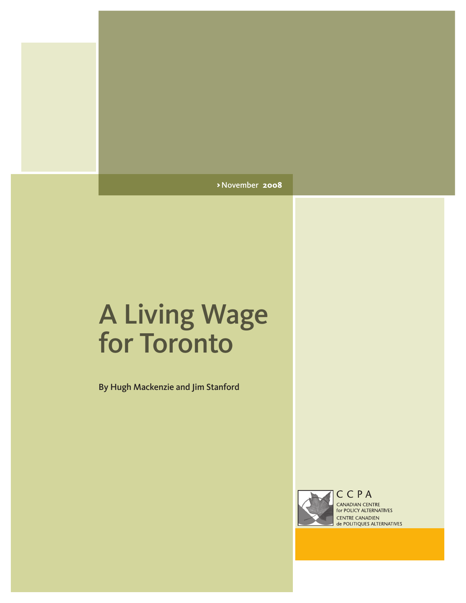>November **2008**

# A Living Wage for Toronto

By Hugh Mackenzie and Jim Stanford



CANADIAN CENTRE for POLICY ALTERNATIVES **CENTRE CANADIEN<br>de POLITIQUES ALTERNATIVES**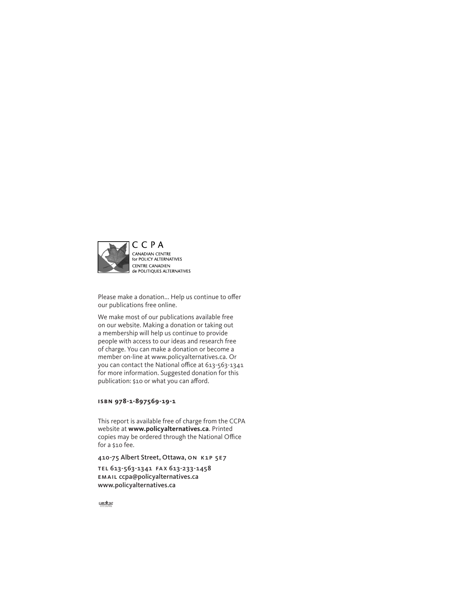

Please make a donation... Help us continue to offer our publications free online.

We make most of our publications available free on our website. Making a donation or taking out a membership will help us continue to provide people with access to our ideas and research free of charge. You can make a donation or become a member on-line at www.policyalternatives.ca. Or you can contact the National office at 613-563-1341 for more information. Suggested donation for this publication: \$10 or what you can afford.

#### **isbn 978-1-897569-19-1**

This report is available free of charge from the CCPA website at **www.policyalternatives.ca**. Printed copies may be ordered through the National Office for a \$10 fee.

410-75 Albert Street, Ottawa, on k1p 5e7

tel 613-563-1341 fax 613-233-1458 email ccpa@policyalternatives.ca www.policyalternatives.ca

 $\frac{CAW}{CTTANA}$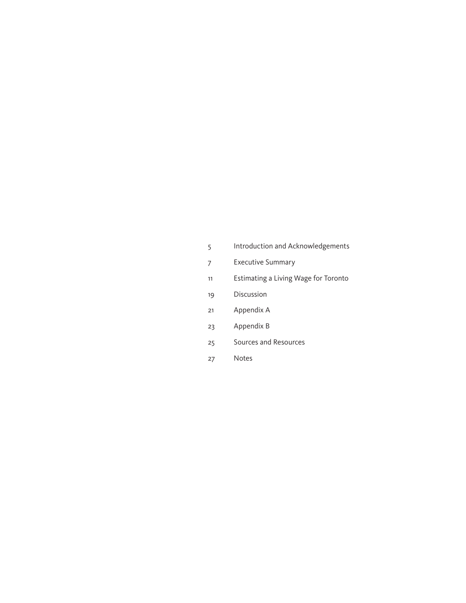- [Introduction and Acknowledgements](#page-4-0)
- [Executive Summary](#page-6-0)
- [11](#page-10-0) Estimating a Living Wage for Toronto
- [Discussion](#page-18-0)
- [Appendix A](#page-20-0)
- [Appendix B](#page-22-0)
- [Sources and Resources](#page-24-0)
- [Notes](#page-26-0)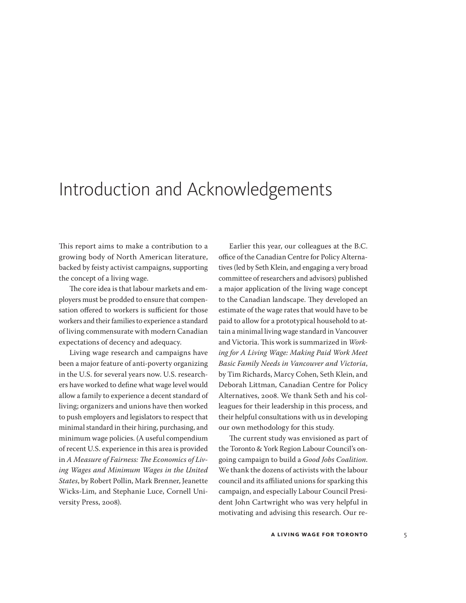### <span id="page-4-0"></span>Introduction and Acknowledgements

This report aims to make a contribution to a growing body of North American literature, backed by feisty activist campaigns, supporting the concept of a living wage.

The core idea is that labour markets and employers must be prodded to ensure that compensation offered to workers is sufficient for those workers and their families to experience a standard of living commensurate with modern Canadian expectations of decency and adequacy.

Living wage research and campaigns have been a major feature of anti-poverty organizing in the U.S. for several years now. U.S. researchers have worked to define what wage level would allow a family to experience a decent standard of living; organizers and unions have then worked to push employers and legislators to respect that minimal standard in their hiring, purchasing, and minimum wage policies. (A useful compendium of recent U.S. experience in this area is provided in *A Measure of Fairness: The Economics of Living Wages and Minimum Wages in the United States*, by Robert Pollin, Mark Brenner, Jeanette Wicks-Lim, and Stephanie Luce, Cornell University Press, 2008).

Earlier this year, our colleagues at the B.C. office of the Canadian Centre for Policy Alternatives (led by Seth Klein, and engaging a very broad committee of researchers and advisors) published a major application of the living wage concept to the Canadian landscape. They developed an estimate of the wage rates that would have to be paid to allow for a prototypical household to attain a minimal living wage standard in Vancouver and Victoria. This work is summarized in *Working for A Living Wage: Making Paid Work Meet Basic Family Needs in Vancouver and Victoria*, by Tim Richards, Marcy Cohen, Seth Klein, and Deborah Littman, Canadian Centre for Policy Alternatives, 2008. We thank Seth and his colleagues for their leadership in this process, and their helpful consultations with us in developing our own methodology for this study.

The current study was envisioned as part of the Toronto & York Region Labour Council's ongoing campaign to build a *Good Jobs Coalition*. We thank the dozens of activists with the labour council and its affiliated unions for sparking this campaign, and especially Labour Council President John Cartwright who was very helpful in motivating and advising this research. Our re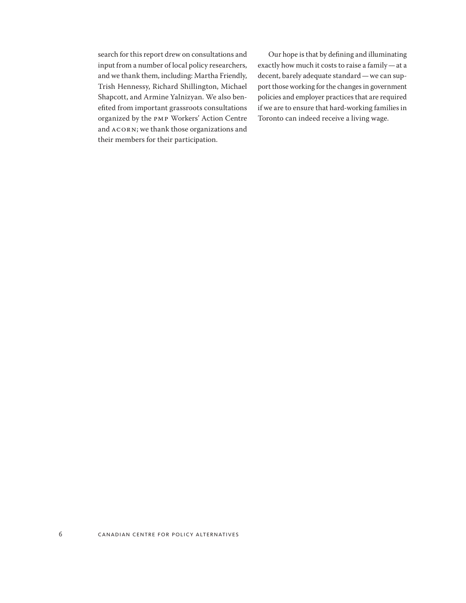search for this report drew on consultations and input from a number of local policy researchers, and we thank them, including: Martha Friendly, Trish Hennessy, Richard Shillington, Michael Shapcott, and Armine Yalnizyan. We also benefited from important grassroots consultations organized by the PMP Workers' Action Centre and ACORN; we thank those organizations and their members for their participation.

Our hope is that by defining and illuminating exactly how much it costs to raise a family—at a decent, barely adequate standard—we can support those working for the changes in government policies and employer practices that are required if we are to ensure that hard-working families in Toronto can indeed receive a living wage.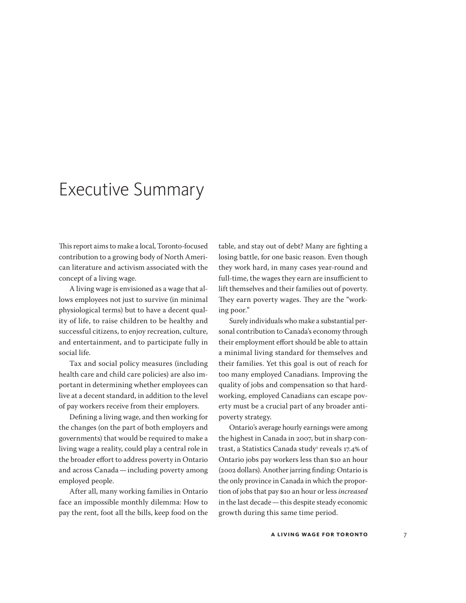### <span id="page-6-0"></span>Executive Summary

This report aims to make a local, Toronto-focused contribution to a growing body of North American literature and activism associated with the concept of a living wage.

A living wage is envisioned as a wage that allows employees not just to survive (in minimal physiological terms) but to have a decent quality of life, to raise children to be healthy and successful citizens, to enjoy recreation, culture, and entertainment, and to participate fully in social life.

Tax and social policy measures (including health care and child care policies) are also important in determining whether employees can live at a decent standard, in addition to the level of pay workers receive from their employers.

Defining a living wage, and then working for the changes (on the part of both employers and governments) that would be required to make a living wage a reality, could play a central role in the broader effort to address poverty in Ontario and across Canada—including poverty among employed people.

After all, many working families in Ontario face an impossible monthly dilemma: How to pay the rent, foot all the bills, keep food on the table, and stay out of debt? Many are fighting a losing battle, for one basic reason. Even though they work hard, in many cases year-round and full-time, the wages they earn are insufficient to lift themselves and their families out of poverty. They earn poverty wages. They are the "working poor."

Surely individuals who make a substantial personal contribution to Canada's economy through their employment effort should be able to attain a minimal living standard for themselves and their families. Yet this goal is out of reach for too many employed Canadians. Improving the quality of jobs and compensation so that hardworking, employed Canadians can escape poverty must be a crucial part of any broader antipoverty strategy.

Ontario's average hourly earnings were among the highest in Canada in 2007, but in sharp contrast, a Statistics Canada study<sup>1</sup> reveals 17.4% of Ontario jobs pay workers less than \$10 an hour (2002 dollars). Another jarring finding: Ontario is the only province in Canada in which the proportion of jobs that pay \$10 an hour or less *increased* in the last decade—this despite steady economic growth during this same time period.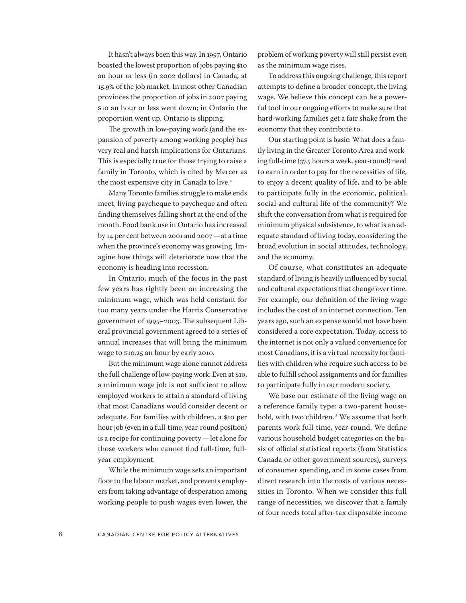It hasn't always been this way. In 1997, Ontario boasted the lowest proportion of jobs paying \$10 an hour or less (in 2002 dollars) in Canada, at 15.9% of the job market. In most other Canadian provinces the proportion of jobs in 2007 paying \$10 an hour or less went down; in Ontario the proportion went up. Ontario is slipping.

The growth in low-paying work (and the expansion of poverty among working people) has very real and harsh implications for Ontarians. This is especially true for those trying to raise a family in Toronto, which is cited by Mercer as the most expensive city in Canada to live.<sup>2</sup>

Many Toronto families struggle to make ends meet, living paycheque to paycheque and often finding themselves falling short at the end of the month. Food bank use in Ontario has increased by 14 per cent between 2001 and 2007—at a time when the province's economy was growing. Imagine how things will deteriorate now that the economy is heading into recession.

In Ontario, much of the focus in the past few years has rightly been on increasing the minimum wage, which was held constant for too many years under the Harris Conservative government of 1995–2003. The subsequent Liberal provincial government agreed to a series of annual increases that will bring the minimum wage to \$10.25 an hour by early 2010.

But the minimum wage alone cannot address the full challenge of low-paying work: Even at \$10, a minimum wage job is not sufficient to allow employed workers to attain a standard of living that most Canadians would consider decent or adequate. For families with children, a \$10 per hour job (even in a full-time, year-round position) is a recipe for continuing poverty—let alone for those workers who cannot find full-time, fullyear employment.

While the minimum wage sets an important floor to the labour market, and prevents employers from taking advantage of desperation among working people to push wages even lower, the problem of working poverty will still persist even as the minimum wage rises.

To address this ongoing challenge, this report attempts to define a broader concept, the living wage. We believe this concept can be a powerful tool in our ongoing efforts to make sure that hard-working families get a fair shake from the economy that they contribute to.

Our starting point is basic: What does a family living in the Greater Toronto Area and working full-time (37.5 hours a week, year-round) need to earn in order to pay for the necessities of life, to enjoy a decent quality of life, and to be able to participate fully in the economic, political, social and cultural life of the community? We shift the conversation from what is required for minimum physical subsistence, to what is an adequate standard of living today, considering the broad evolution in social attitudes, technology, and the economy.

Of course, what constitutes an adequate standard of living is heavily influenced by social and cultural expectations that change over time. For example, our definition of the living wage includes the cost of an internet connection. Ten years ago, such an expense would not have been considered a core expectation. Today, access to the internet is not only a valued convenience for most Canadians, it is a virtual necessity for families with children who require such access to be able to fulfill school assignments and for families to participate fully in our modern society.

We base our estimate of the living wage on a reference family type: a two-parent household, with two children. 3 We assume that both parents work full-time, year-round. We define various household budget categories on the basis of official statistical reports (from Statistics Canada or other government sources), surveys of consumer spending, and in some cases from direct research into the costs of various necessities in Toronto. When we consider this full range of necessities, we discover that a family of four needs total after-tax disposable income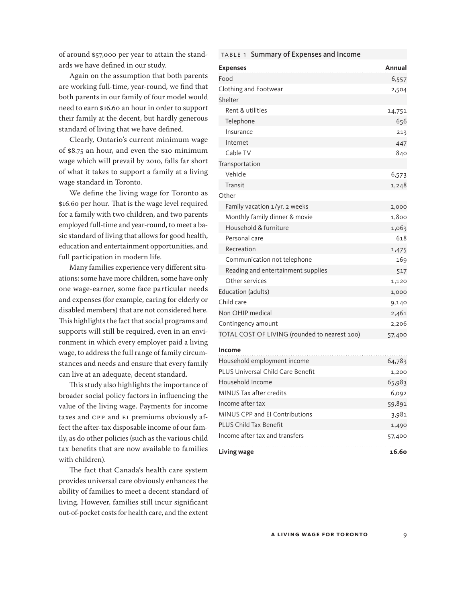of around \$57,000 per year to attain the standards we have defined in our study.

Again on the assumption that both parents are working full-time, year-round, we find that both parents in our family of four model would need to earn \$16.60 an hour in order to support their family at the decent, but hardly generous standard of living that we have defined.

Clearly, Ontario's current minimum wage of \$8.75 an hour, and even the \$10 minimum wage which will prevail by 2010, falls far short of what it takes to support a family at a living wage standard in Toronto.

We define the living wage for Toronto as \$16.60 per hour. That is the wage level required for a family with two children, and two parents employed full-time and year-round, to meet a basic standard of living that allows for good health, education and entertainment opportunities, and full participation in modern life.

Many families experience very different situations: some have more children, some have only one wage-earner, some face particular needs and expenses (for example, caring for elderly or disabled members) that are not considered here. This highlights the fact that social programs and supports will still be required, even in an environment in which every employer paid a living wage, to address the full range of family circumstances and needs and ensure that every family can live at an adequate, decent standard.

This study also highlights the importance of broader social policy factors in influencing the value of the living wage. Payments for income taxes and CPP and EI premiums obviously affect the after-tax disposable income of our family, as do other policies (such as the various child tax benefits that are now available to families with children).

The fact that Canada's health care system provides universal care obviously enhances the ability of families to meet a decent standard of living. However, families still incur significant out-of-pocket costs for health care, and the extent

| <b>Expenses</b>                               | Annual |
|-----------------------------------------------|--------|
| Food                                          | 6,557  |
| Clothing and Footwear                         | 2,504  |
| Shelter                                       |        |
| Rent & utilities                              | 14,751 |
| Telephone                                     | 656    |
| Insurance                                     | 213    |
| Internet                                      | 447    |
| Cable TV                                      | 840    |
| Transportation                                |        |
| Vehicle                                       | 6,573  |
| Transit                                       | 1,248  |
| Other                                         |        |
| Family vacation 1/yr. 2 weeks                 | 2,000  |
| Monthly family dinner & movie                 | 1,800  |
| Household & furniture                         | 1,063  |
| Personal care                                 | 618    |
| Recreation                                    | 1,475  |
| Communication not telephone                   | 169    |
| Reading and entertainment supplies            | 517    |
| Other services                                | 1,120  |
| Education (adults)                            | 1,000  |
| Child care                                    | 9,140  |
| Non OHIP medical                              | 2,461  |
| Contingency amount                            | 2,206  |
| TOTAL COST OF LIVING (rounded to nearest 100) | 57,400 |
| Income                                        |        |
| .                                             |        |

table 1 Summary of Expenses and Income

| Living wage                       | 16.60  |
|-----------------------------------|--------|
| Income after tax and transfers    | 57,400 |
| <b>PLUS Child Tax Benefit</b>     | 1,490  |
| MINUS CPP and El Contributions    | 3,981  |
| Income after tax                  | 59,891 |
| MINUS Tax after credits           | 6,092  |
| Household Income                  | 65,983 |
| PLUS Universal Child Care Benefit | 1,200  |
| Household employment income       | 64,783 |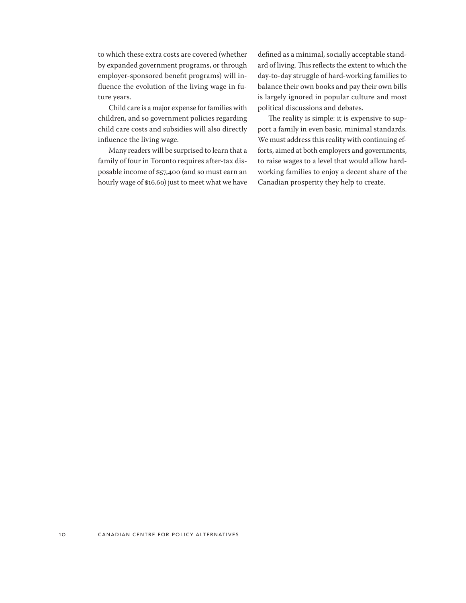to which these extra costs are covered (whether by expanded government programs, or through employer-sponsored benefit programs) will influence the evolution of the living wage in future years.

Child care is a major expense for families with children, and so government policies regarding child care costs and subsidies will also directly influence the living wage.

Many readers will be surprised to learn that a family of four in Toronto requires after-tax disposable income of \$57,400 (and so must earn an hourly wage of \$16.60) just to meet what we have defined as a minimal, socially acceptable standard of living. This reflects the extent to which the day-to-day struggle of hard-working families to balance their own books and pay their own bills is largely ignored in popular culture and most political discussions and debates.

The reality is simple: it is expensive to support a family in even basic, minimal standards. We must address this reality with continuing efforts, aimed at both employers and governments, to raise wages to a level that would allow hardworking families to enjoy a decent share of the Canadian prosperity they help to create.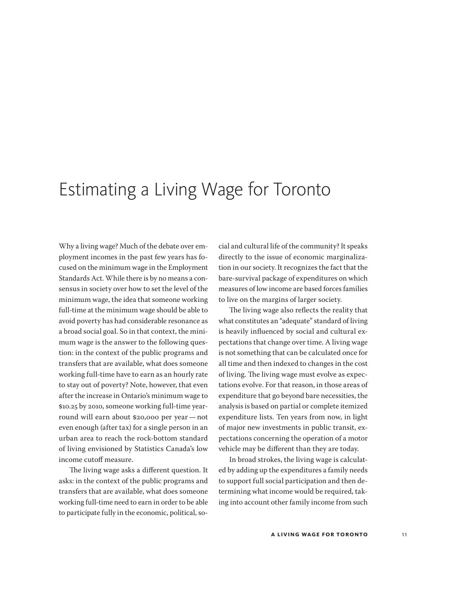### <span id="page-10-0"></span>Estimating a Living Wage for Toronto

Why a living wage? Much of the debate over employment incomes in the past few years has focused on the minimum wage in the Employment Standards Act. While there is by no means a consensus in society over how to set the level of the minimum wage, the idea that someone working full-time at the minimum wage should be able to avoid poverty has had considerable resonance as a broad social goal. So in that context, the minimum wage is the answer to the following question: in the context of the public programs and transfers that are available, what does someone working full-time have to earn as an hourly rate to stay out of poverty? Note, however, that even after the increase in Ontario's minimum wage to \$10.25 by 2010, someone working full-time yearround will earn about \$20,000 per year—not even enough (after tax) for a single person in an urban area to reach the rock-bottom standard of living envisioned by Statistics Canada's low income cutoff measure.

The living wage asks a different question. It asks: in the context of the public programs and transfers that are available, what does someone working full-time need to earn in order to be able to participate fully in the economic, political, social and cultural life of the community? It speaks directly to the issue of economic marginalization in our society. It recognizes the fact that the bare-survival package of expenditures on which measures of low income are based forces families to live on the margins of larger society.

The living wage also reflects the reality that what constitutes an "adequate" standard of living is heavily influenced by social and cultural expectations that change over time. A living wage is not something that can be calculated once for all time and then indexed to changes in the cost of living. The living wage must evolve as expectations evolve. For that reason, in those areas of expenditure that go beyond bare necessities, the analysis is based on partial or complete itemized expenditure lists. Ten years from now, in light of major new investments in public transit, expectations concerning the operation of a motor vehicle may be different than they are today.

In broad strokes, the living wage is calculated by adding up the expenditures a family needs to support full social participation and then determining what income would be required, taking into account other family income from such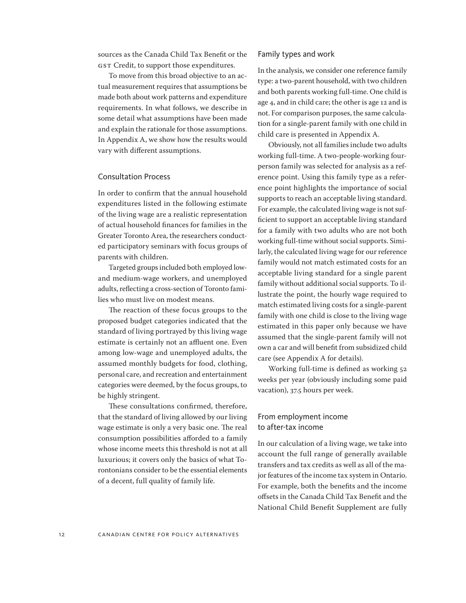sources as the Canada Child Tax Benefit or the GST Credit, to support those expenditures.

To move from this broad objective to an actual measurement requires that assumptions be made both about work patterns and expenditure requirements. In what follows, we describe in some detail what assumptions have been made and explain the rationale for those assumptions. In Appendix A, we show how the results would vary with different assumptions.

#### Consultation Process

In order to confirm that the annual household expenditures listed in the following estimate of the living wage are a realistic representation of actual household finances for families in the Greater Toronto Area, the researchers conducted participatory seminars with focus groups of parents with children.

Targeted groups included both employed lowand medium-wage workers, and unemployed adults, reflecting a cross-section of Toronto families who must live on modest means.

The reaction of these focus groups to the proposed budget categories indicated that the standard of living portrayed by this living wage estimate is certainly not an affluent one. Even among low-wage and unemployed adults, the assumed monthly budgets for food, clothing, personal care, and recreation and entertainment categories were deemed, by the focus groups, to be highly stringent.

These consultations confirmed, therefore, that the standard of living allowed by our living wage estimate is only a very basic one. The real consumption possibilities afforded to a family whose income meets this threshold is not at all luxurious; it covers only the basics of what Torontonians consider to be the essential elements of a decent, full quality of family life.

#### Family types and work

In the analysis, we consider one reference family type: a two-parent household, with two children and both parents working full-time. One child is age 4, and in child care; the other is age 12 and is not. For comparison purposes, the same calculation for a single-parent family with one child in child care is presented in Appendix A.

Obviously, not all families include two adults working full-time. A two-people-working fourperson family was selected for analysis as a reference point. Using this family type as a reference point highlights the importance of social supports to reach an acceptable living standard. For example, the calculated living wage is not sufficient to support an acceptable living standard for a family with two adults who are not both working full-time without social supports. Similarly, the calculated living wage for our reference family would not match estimated costs for an acceptable living standard for a single parent family without additional social supports. To illustrate the point, the hourly wage required to match estimated living costs for a single-parent family with one child is close to the living wage estimated in this paper only because we have assumed that the single-parent family will not own a car and will benefit from subsidized child care (see Appendix A for details).

Working full-time is defined as working 52 weeks per year (obviously including some paid vacation), 37.5 hours per week.

#### From employment income to after-tax income

In our calculation of a living wage, we take into account the full range of generally available transfers and tax credits as well as all of the major features of the income tax system in Ontario. For example, both the benefits and the income offsets in the Canada Child Tax Benefit and the National Child Benefit Supplement are fully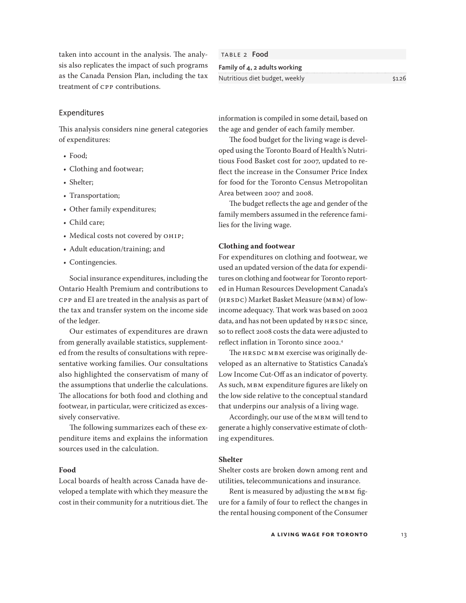taken into account in the analysis. The analysis also replicates the impact of such programs as the Canada Pension Plan, including the tax treatment of CPP contributions.

#### Expenditures

This analysis considers nine general categories of expenditures:

- Food;
- Clothing and footwear;
- Shelter;
- Transportation;
- Other family expenditures;
- Child care;
- Medical costs not covered by OHIP;
- Adult education/training; and
- Contingencies.

Social insurance expenditures, including the Ontario Health Premium and contributions to CPP and EI are treated in the analysis as part of the tax and transfer system on the income side of the ledger.

Our estimates of expenditures are drawn from generally available statistics, supplemented from the results of consultations with representative working families. Our consultations also highlighted the conservatism of many of the assumptions that underlie the calculations. The allocations for both food and clothing and footwear, in particular, were criticized as excessively conservative.

The following summarizes each of these expenditure items and explains the information sources used in the calculation.

#### **Food**

Local boards of health across Canada have developed a template with which they measure the cost in their community for a nutritious diet. The

TABLE 2 Food Family of 4, 2 adults working Nutritious diet budget, weekly **bullet and the COV** \$126

information is compiled in some detail, based on the age and gender of each family member.

The food budget for the living wage is developed using the Toronto Board of Health's Nutritious Food Basket cost for 2007, updated to reflect the increase in the Consumer Price Index for food for the Toronto Census Metropolitan Area between 2007 and 2008.

The budget reflects the age and gender of the family members assumed in the reference families for the living wage.

#### **Clothing and footwear**

For expenditures on clothing and footwear, we used an updated version of the data for expenditures on clothing and footwear for Toronto reported in Human Resources Development Canada's (HRSDC) Market Basket Measure (MBM) of lowincome adequacy. That work was based on 2002 data, and has not been updated by HRSDC since, so to reflect 2008 costs the data were adjusted to reflect inflation in Toronto since 2002.4

The HRSDC MBM exercise was originally developed as an alternative to Statistics Canada's Low Income Cut-Off as an indicator of poverty. As such, MBM expenditure figures are likely on the low side relative to the conceptual standard that underpins our analysis of a living wage.

Accordingly, our use of the MBM will tend to generate a highly conservative estimate of clothing expenditures.

#### **Shelter**

Shelter costs are broken down among rent and utilities, telecommunications and insurance.

Rent is measured by adjusting the MBM figure for a family of four to reflect the changes in the rental housing component of the Consumer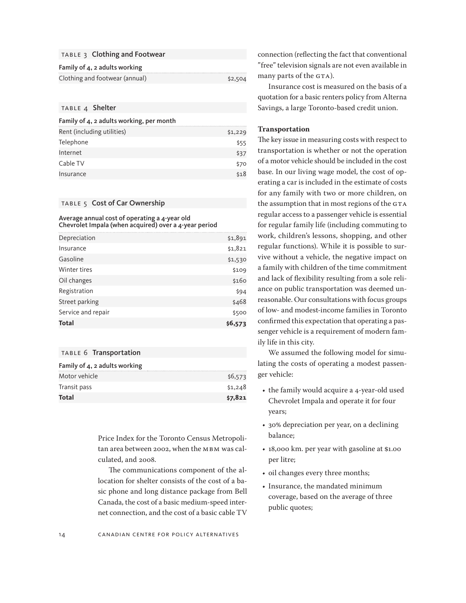#### TABLE 3 Clothing and Footwear

#### Family of 4, 2 adults working

| Clothing and footwear (annual) | \$2,504 |
|--------------------------------|---------|

#### TABLE 4 Shelter

#### Family of 4, 2 adults working, per month

| Rent (including utilities) | \$1,229 |
|----------------------------|---------|
| Telephone                  | \$55    |
| Internet                   | \$37    |
| Cable TV                   | \$70    |
| Insurance                  | \$18    |

#### TABLE 5 Cost of Car Ownership

Average annual cost of operating a 4-year old Chevrolet Impala (when acquired) over a 4-year period

| Depreciation       | \$1,891 |
|--------------------|---------|
| Insurance          | \$1,821 |
| Gasoline           | \$1,530 |
| Winter tires       | \$109   |
| Oil changes        | \$160   |
| Registration       | \$94    |
| Street parking     | \$468   |
| Service and repair | \$500   |
| <b>Total</b>       | \$6,573 |
|                    |         |

#### table 6 Transportation

| Family of 4, 2 adults working |         |
|-------------------------------|---------|
| Motor vehicle                 | \$6,573 |
| Transit pass                  | \$1,248 |
| Total                         | \$7,821 |

Price Index for the Toronto Census Metropolitan area between 2002, when the MBM was calculated, and 2008.

The communications component of the allocation for shelter consists of the cost of a basic phone and long distance package from Bell Canada, the cost of a basic medium-speed internet connection, and the cost of a basic cable TV connection (reflecting the fact that conventional "free" television signals are not even available in many parts of the GTA).

Insurance cost is measured on the basis of a quotation for a basic renters policy from Alterna Savings, a large Toronto-based credit union.

#### **Transportation**

The key issue in measuring costs with respect to transportation is whether or not the operation of a motor vehicle should be included in the cost base. In our living wage model, the cost of operating a car is included in the estimate of costs for any family with two or more children, on the assumption that in most regions of the GTA regular access to a passenger vehicle is essential for regular family life (including commuting to work, children's lessons, shopping, and other regular functions). While it is possible to survive without a vehicle, the negative impact on a family with children of the time commitment and lack of flexibility resulting from a sole reliance on public transportation was deemed unreasonable. Our consultations with focus groups of low- and modest-income families in Toronto confirmed this expectation that operating a passenger vehicle is a requirement of modern family life in this city.

We assumed the following model for simulating the costs of operating a modest passenger vehicle:

- the family would acquire a 4-year-old used Chevrolet Impala and operate it for four years;
- 30% depreciation per year, on a declining balance;
- 18,000 km. per year with gasoline at \$1.00 per litre;
- oil changes every three months;
- Insurance, the mandated minimum coverage, based on the average of three public quotes;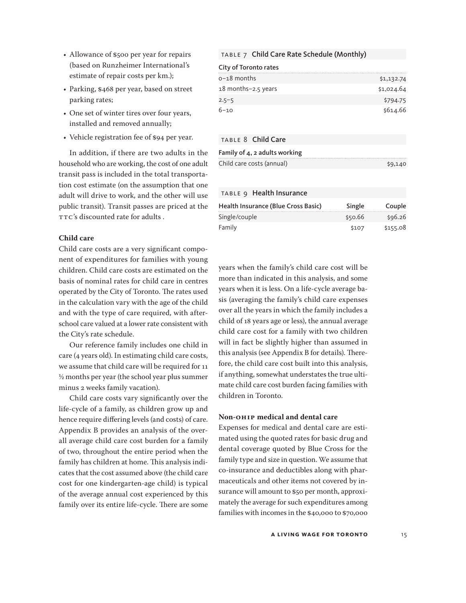- • Allowance of \$500 per year for repairs (based on Runzheimer International's estimate of repair costs per km.);
- Parking, \$468 per year, based on street parking rates;
- One set of winter tires over four years, installed and removed annually;
- Vehicle registration fee of \$94 per year.

In addition, if there are two adults in the household who are working, the cost of one adult transit pass is included in the total transportation cost estimate (on the assumption that one adult will drive to work, and the other will use public transit). Transit passes are priced at the TTC's discounted rate for adults .

#### **Child care**

Child care costs are a very significant component of expenditures for families with young children. Child care costs are estimated on the basis of nominal rates for child care in centres operated by the City of Toronto. The rates used in the calculation vary with the age of the child and with the type of care required, with afterschool care valued at a lower rate consistent with the City's rate schedule.

Our reference family includes one child in care (4 years old). In estimating child care costs, we assume that child care will be required for 11 ½ months per year (the school year plus summer minus 2 weeks family vacation).

Child care costs vary significantly over the life-cycle of a family, as children grow up and hence require differing levels (and costs) of care. Appendix B provides an analysis of the overall average child care cost burden for a family of two, throughout the entire period when the family has children at home. This analysis indicates that the cost assumed above (the child care cost for one kindergarten-age child) is typical of the average annual cost experienced by this family over its entire life-cycle. There are some

#### table 7 Child Care Rate Schedule (Monthly)

City of Toronto rates

| o-18 months         | \$1,132.74 |
|---------------------|------------|
| 18 months-2.5 years | \$1,024.64 |
| $2.5 - 5$           | \$794.75   |
| $6 - 10$            | \$614.66   |

#### TABLE 8 Child Care

| Family of $4$ , 2 adults working |         |
|----------------------------------|---------|
| Child care costs (annual)        | \$9,140 |

#### TABLE 9 Health Insurance

| Health Insurance (Blue Cross Basic) | Single  | Couple   |
|-------------------------------------|---------|----------|
| Single/couple                       | \$50.66 | \$96.26  |
| Family                              | \$107   | \$155.08 |

years when the family's child care cost will be more than indicated in this analysis, and some years when it is less. On a life-cycle average basis (averaging the family's child care expenses over all the years in which the family includes a child of 18 years age or less), the annual average child care cost for a family with two children will in fact be slightly higher than assumed in this analysis (see Appendix B for details). Therefore, the child care cost built into this analysis, if anything, somewhat understates the true ultimate child care cost burden facing families with children in Toronto.

#### **Non-OHIP medical and dental care**

Expenses for medical and dental care are estimated using the quoted rates for basic drug and dental coverage quoted by Blue Cross for the family type and size in question. We assume that co-insurance and deductibles along with pharmaceuticals and other items not covered by insurance will amount to \$50 per month, approximately the average for such expenditures among families with incomes in the \$40,000 to \$70,000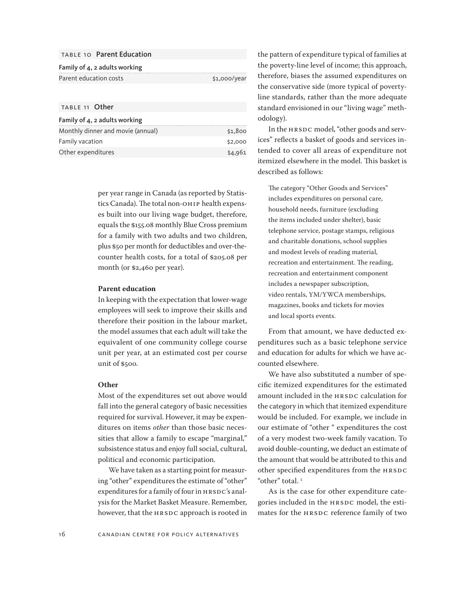| <b>TABLE 10 Parent Education</b>  |              |
|-----------------------------------|--------------|
| Family of 4, 2 adults working     |              |
| Parent education costs            | \$1,000/year |
|                                   |              |
| TABLE 11 Other                    |              |
| Family of 4, 2 adults working     |              |
| Monthly dinner and movie (annual) | \$1,800      |
|                                   |              |

Other expenditures  $\frac{1}{4,961}$ 

per year range in Canada (as reported by Statistics Canada). The total non-OHIP health expenses built into our living wage budget, therefore, equals the \$155.08 monthly Blue Cross premium for a family with two adults and two children, plus \$50 per month for deductibles and over-thecounter health costs, for a total of \$205.08 per month (or \$2,460 per year).

#### **Parent education**

In keeping with the expectation that lower-wage employees will seek to improve their skills and therefore their position in the labour market, the model assumes that each adult will take the equivalent of one community college course unit per year, at an estimated cost per course unit of \$500.

#### **Other**

Most of the expenditures set out above would fall into the general category of basic necessities required for survival. However, it may be expenditures on items *other* than those basic necessities that allow a family to escape "marginal," subsistence status and enjoy full social, cultural, political and economic participation.

We have taken as a starting point for measuring "other" expenditures the estimate of "other" expenditures for a family of four in HRSDC's analysis for the Market Basket Measure. Remember, however, that the HRSDC approach is rooted in the pattern of expenditure typical of families at the poverty-line level of income; this approach, therefore, biases the assumed expenditures on the conservative side (more typical of povertyline standards, rather than the more adequate standard envisioned in our "living wage" methodology).

In the HRSDC model, "other goods and services" reflects a basket of goods and services intended to cover all areas of expenditure not itemized elsewhere in the model. This basket is described as follows:

The category "Other Goods and Services" includes expenditures on personal care, household needs, furniture (excluding the items included under shelter), basic telephone service, postage stamps, religious and charitable donations, school supplies and modest levels of reading material, recreation and entertainment. The reading, recreation and entertainment component includes a newspaper subscription, video rentals, YM/YWCA memberships, magazines, books and tickets for movies and local sports events.

From that amount, we have deducted expenditures such as a basic telephone service and education for adults for which we have accounted elsewhere.

We have also substituted a number of specific itemized expenditures for the estimated amount included in the HRSDC calculation for the category in which that itemized expenditure would be included. For example, we include in our estimate of "other " expenditures the cost of a very modest two-week family vacation. To avoid double-counting, we deduct an estimate of the amount that would be attributed to this and other specified expenditures from the HRSDC "other" total.<sup>5</sup>

As is the case for other expenditure categories included in the HRSDC model, the estimates for the HRSDC reference family of two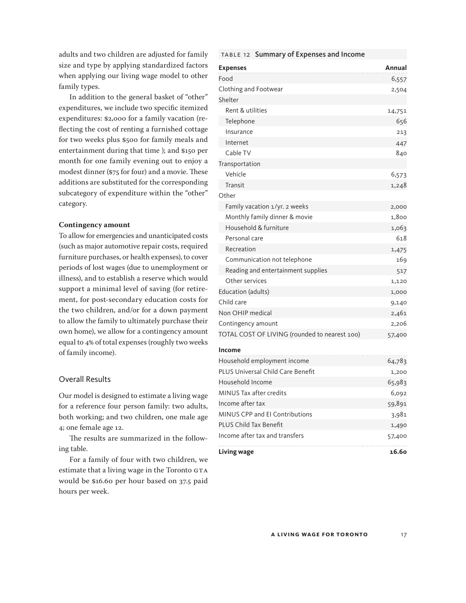adults and two children are adjusted for family size and type by applying standardized factors when applying our living wage model to other family types.

In addition to the general basket of "other" expenditures, we include two specific itemized expenditures: \$2,000 for a family vacation (reflecting the cost of renting a furnished cottage for two weeks plus \$500 for family meals and entertainment during that time ); and \$150 per month for one family evening out to enjoy a modest dinner (\$75 for four) and a movie. These additions are substituted for the corresponding subcategory of expenditure within the "other" category.

#### **Contingency amount**

To allow for emergencies and unanticipated costs (such as major automotive repair costs, required furniture purchases, or health expenses), to cover periods of lost wages (due to unemployment or illness), and to establish a reserve which would support a minimal level of saving (for retirement, for post-secondary education costs for the two children, and/or for a down payment to allow the family to ultimately purchase their own home), we allow for a contingency amount equal to 4% of total expenses (roughly two weeks of family income).

#### Overall Results

Our model is designed to estimate a living wage for a reference four person family: two adults, both working; and two children, one male age 4; one female age 12.

The results are summarized in the following table.

For a family of four with two children, we estimate that a living wage in the Toronto GTA would be \$16.60 per hour based on 37.5 paid hours per week.

|  | TABLE 12 Summary of Expenses and Income |  |  |
|--|-----------------------------------------|--|--|
|--|-----------------------------------------|--|--|

| <b>Expenses</b>                               | <b>Annual</b> |
|-----------------------------------------------|---------------|
| Food                                          | 6,557         |
| Clothing and Footwear                         | 2,504         |
| Shelter                                       |               |
| Rent & utilities                              | 14,751        |
| Telephone                                     | 656           |
| Insurance                                     | 213           |
| Internet                                      | 447           |
| Cable TV                                      | 840           |
| Transportation                                |               |
| Vehicle                                       | 6,573         |
| Transit                                       | 1,248         |
| Other                                         |               |
| Family vacation 1/yr. 2 weeks                 | 2,000         |
| Monthly family dinner & movie                 | 1,800         |
| Household & furniture                         | 1,063         |
| Personal care                                 | 618           |
| Recreation                                    | 1,475         |
| Communication not telephone                   | 169           |
| Reading and entertainment supplies            | 517           |
| Other services                                | 1,120         |
| Education (adults)                            | 1,000         |
| Child care                                    | 9,140         |
| Non OHIP medical                              | 2,461         |
| Contingency amount                            | 2,206         |
| TOTAL COST OF LIVING (rounded to nearest 100) | 57,400        |

#### **Income**

| Household employment income       | 64,783 |
|-----------------------------------|--------|
| PLUS Universal Child Care Benefit | 1,200  |
| Household Income                  | 65,983 |
| MINUS Tax after credits           | 6,092  |
| Income after tax                  | 59,891 |
| MINUS CPP and El Contributions    | 3,981  |
| PLUS Child Tax Benefit            | 1,490  |
| Income after tax and transfers    | 57,400 |
| Living wage                       | 16 60  |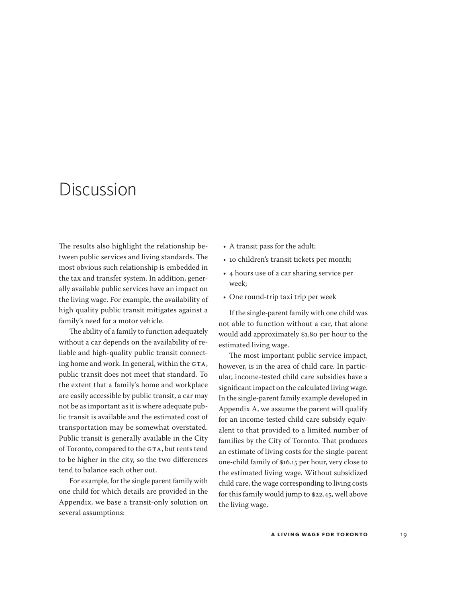### <span id="page-18-0"></span>Discussion

The results also highlight the relationship between public services and living standards. The most obvious such relationship is embedded in the tax and transfer system. In addition, generally available public services have an impact on the living wage. For example, the availability of high quality public transit mitigates against a family's need for a motor vehicle.

The ability of a family to function adequately without a car depends on the availability of reliable and high-quality public transit connecting home and work. In general, within the GTA, public transit does not meet that standard. To the extent that a family's home and workplace are easily accessible by public transit, a car may not be as important as it is where adequate public transit is available and the estimated cost of transportation may be somewhat overstated. Public transit is generally available in the City of Toronto, compared to the GTA, but rents tend to be higher in the city, so the two differences tend to balance each other out.

For example, for the single parent family with one child for which details are provided in the Appendix, we base a transit-only solution on several assumptions:

- A transit pass for the adult;
- 10 children's transit tickets per month;
- • 4 hours use of a car sharing service per week;
- One round-trip taxi trip per week

If the single-parent family with one child was not able to function without a car, that alone would add approximately \$1.80 per hour to the estimated living wage.

The most important public service impact, however, is in the area of child care. In particular, income-tested child care subsidies have a significant impact on the calculated living wage. In the single-parent family example developed in Appendix A, we assume the parent will qualify for an income-tested child care subsidy equivalent to that provided to a limited number of families by the City of Toronto. That produces an estimate of living costs for the single-parent one-child family of \$16.15 per hour, very close to the estimated living wage. Without subsidized child care, the wage corresponding to living costs for this family would jump to \$22.45, well above the living wage.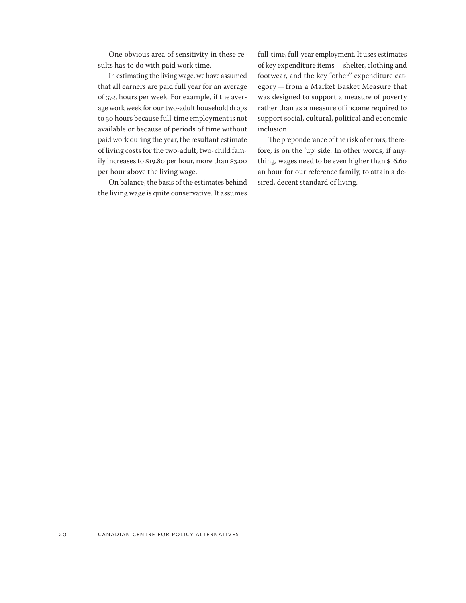One obvious area of sensitivity in these results has to do with paid work time.

In estimating the living wage, we have assumed that all earners are paid full year for an average of 37.5 hours per week. For example, if the average work week for our two-adult household drops to 30 hours because full-time employment is not available or because of periods of time without paid work during the year, the resultant estimate of living costs for the two-adult, two-child family increases to \$19.80 per hour, more than \$3.00 per hour above the living wage.

On balance, the basis of the estimates behind the living wage is quite conservative. It assumes full-time, full-year employment. It uses estimates of key expenditure items—shelter, clothing and footwear, and the key "other" expenditure category—from a Market Basket Measure that was designed to support a measure of poverty rather than as a measure of income required to support social, cultural, political and economic inclusion.

The preponderance of the risk of errors, therefore, is on the 'up' side. In other words, if anything, wages need to be even higher than \$16.60 an hour for our reference family, to attain a desired, decent standard of living.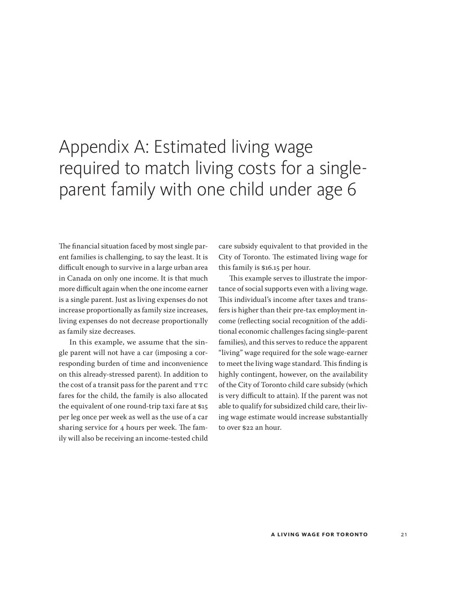# <span id="page-20-0"></span>Appendix A: Estimated living wage required to match living costs for a singleparent family with one child under age 6

The financial situation faced by most single parent families is challenging, to say the least. It is difficult enough to survive in a large urban area in Canada on only one income. It is that much more difficult again when the one income earner is a single parent. Just as living expenses do not increase proportionally as family size increases, living expenses do not decrease proportionally as family size decreases.

In this example, we assume that the single parent will not have a car (imposing a corresponding burden of time and inconvenience on this already-stressed parent). In addition to the cost of a transit pass for the parent and TTC fares for the child, the family is also allocated the equivalent of one round-trip taxi fare at \$15 per leg once per week as well as the use of a car sharing service for 4 hours per week. The family will also be receiving an income-tested child

care subsidy equivalent to that provided in the City of Toronto. The estimated living wage for this family is \$16.15 per hour.

This example serves to illustrate the importance of social supports even with a living wage. This individual's income after taxes and transfers is higher than their pre-tax employment income (reflecting social recognition of the additional economic challenges facing single-parent families), and this serves to reduce the apparent "living" wage required for the sole wage-earner to meet the living wage standard. This finding is highly contingent, however, on the availability of the City of Toronto child care subsidy (which is very difficult to attain). If the parent was not able to qualify for subsidized child care, their living wage estimate would increase substantially to over \$22 an hour.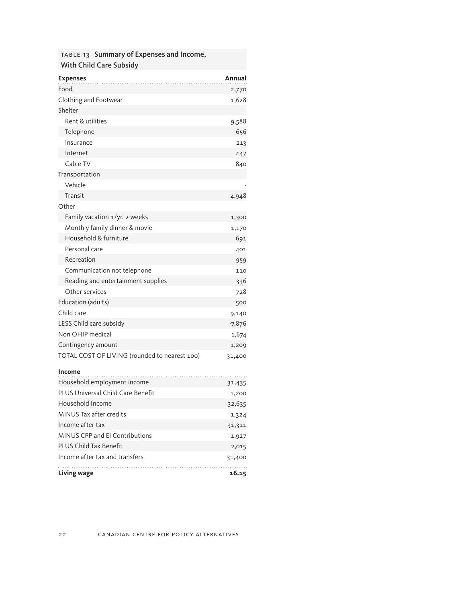#### table 13 Summary of Expenses and Income, With Child Care Subsidy

| <b>Expenses</b>                               | Annual   |
|-----------------------------------------------|----------|
| Food                                          | 2,770    |
| Clothing and Footwear                         | 1,628    |
| Shelter                                       |          |
| Rent & utilities                              | 9,588    |
| Telephone                                     | 656      |
| Insurance                                     | 213      |
| Internet                                      | 447      |
| Cable TV                                      | 840      |
| Transportation                                |          |
| Vehicle                                       |          |
| Transit                                       | 4,948    |
| Other                                         |          |
| Family vacation 1/yr. 2 weeks                 | 1,300    |
| Monthly family dinner & movie                 | 1,170    |
| Household & furniture                         | 691      |
| Personal care                                 | 401      |
| Recreation                                    | 959      |
| Communication not telephone                   | 110      |
| Reading and entertainment supplies            | 336      |
| Other services                                | 728      |
| Education (adults)                            | 500      |
| Child care                                    | 9,140    |
| LESS Child care subsidy                       | $-7,876$ |
| Non OHIP medical                              | 1,674    |
| Contingency amount                            | 1,209    |
| TOTAL COST OF LIVING (rounded to nearest 100) | 31,400   |
| Income                                        |          |
| Household employment income                   | 31,435   |
| <b>PLUS Universal Child Care Benefit</b>      | 1,200    |
| Household Income                              | 32,635   |
| MINUS Tax after credits                       | 1,324    |
| Income after tax                              | 31,311   |
| MINUS CPP and EI Contributions                | 1,927    |
| <b>PLUS Child Tax Benefit</b>                 | 2,015    |
| Income after tax and transfers                | 31,400   |

**Living wage 16.15**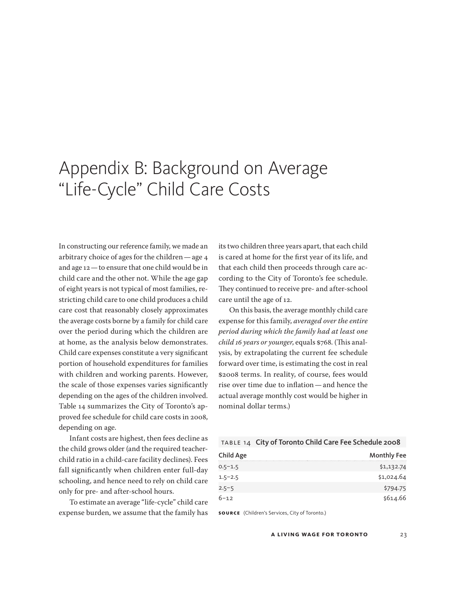# <span id="page-22-0"></span>Appendix B: Background on Average "Life-Cycle" Child Care Costs

In constructing our reference family, we made an arbitrary choice of ages for the children—age 4 and age 12—to ensure that one child would be in child care and the other not. While the age gap of eight years is not typical of most families, restricting child care to one child produces a child care cost that reasonably closely approximates the average costs borne by a family for child care over the period during which the children are at home, as the analysis below demonstrates. Child care expenses constitute a very significant portion of household expenditures for families with children and working parents. However, the scale of those expenses varies significantly depending on the ages of the children involved. Table 14 summarizes the City of Toronto's approved fee schedule for child care costs in 2008, depending on age.

Infant costs are highest, then fees decline as the child grows older (and the required teacherchild ratio in a child-care facility declines). Fees fall significantly when children enter full-day schooling, and hence need to rely on child care only for pre- and after-school hours.

To estimate an average "life-cycle" child care expense burden, we assume that the family has

its two children three years apart, that each child is cared at home for the first year of its life, and that each child then proceeds through care according to the City of Toronto's fee schedule. They continued to receive pre- and after-school care until the age of 12.

On this basis, the average monthly child care expense for this family, *averaged over the entire period during which the family had at least one child 16 years or younger*, equals \$768. (This analysis, by extrapolating the current fee schedule forward over time, is estimating the cost in real \$2008 terms. In reality, of course, fees would rise over time due to inflation—and hence the actual average monthly cost would be higher in nominal dollar terms.)

#### table 14 City of Toronto Child Care Fee Schedule 2008

| Child Age   | <b>Monthly Fee</b> |
|-------------|--------------------|
| $0.5 - 1.5$ | \$1,132.74         |
| $1.5 - 2.5$ | \$1,024.64         |
| $2.5 - 5$   | \$794.75           |
| $6 - 12$    | \$614.66           |

**source** (Children's Services, City of Toronto.)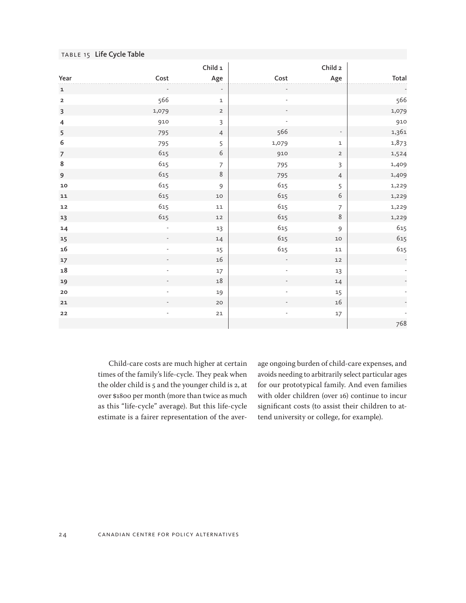| TABLE 15 Life Cycle Table |                 |                |                |                          |                |
|---------------------------|-----------------|----------------|----------------|--------------------------|----------------|
|                           |                 | Child 1        |                | Child <sub>2</sub>       |                |
| Year                      | $\mathsf{Cost}$ | Age            | Cost           | Age                      | Total          |
| $\mathbf 1$               |                 |                |                |                          |                |
| $\overline{\mathbf{2}}$   | 566             | $\mathtt 1$    |                |                          | 566            |
| $\overline{\mathbf{3}}$   | 1,079           | $\overline{2}$ |                |                          | 1,079          |
| $\overline{4}$            | 910             | $\mathsf{3}$   |                |                          | 910            |
| 5                         | 795             | $\overline{4}$ | 566            | $\overline{\phantom{a}}$ | 1,361          |
| 6                         | 795             | 5              | 1,079          | $\mathbf{1}$             | 1,873          |
| $\boldsymbol{7}$          | 615             | $\sqrt{6}$     | 910            | $\overline{2}$           | 1,524          |
| $\bf 8$                   | 615             | $\overline{7}$ | 795            | $\overline{3}$           | 1,409          |
| 9                         | 615             | $\,8\,$        | 795            | $\overline{4}$           | 1,409          |
| 10                        | 615             | $\overline{9}$ | 615            | 5                        | 1,229          |
| ${\bf 11}$                | 615             | $10$           | 615            | $\sqrt{6}$               | 1,229          |
| 12                        | 615             | $11\,$         | 615            | $\overline{7}$           | 1,229          |
| 13                        | 615             | 12             | 615            | 8                        | 1,229          |
| 14                        | ÷,              | 13             | 615            | 9                        | 615            |
| 15                        |                 | 14             | 615            | $10$                     | 615            |
| 16                        | $\blacksquare$  | 15             | 615            | 11                       | 615            |
| 17                        |                 | 16             |                | $12$                     | $\blacksquare$ |
| ${\bf 18}$                | $\blacksquare$  | 17             | $\blacksquare$ | 13                       |                |
| 19                        | $\overline{a}$  | 18             |                | 14                       |                |
| ${\bf 20}$                |                 | 19             |                | 15                       |                |
| 21                        |                 | 20             |                | 16                       |                |
| ${\bf 22}$                |                 | ${\bf 21}$     |                | 17                       |                |
|                           |                 |                |                |                          | 768            |

Child-care costs are much higher at certain times of the family's life-cycle. They peak when the older child is 5 and the younger child is 2, at over \$1800 per month (more than twice as much as this "life-cycle" average). But this life-cycle estimate is a fairer representation of the average ongoing burden of child-care expenses, and avoids needing to arbitrarily select particular ages for our prototypical family. And even families with older children (over 16) continue to incur significant costs (to assist their children to attend university or college, for example).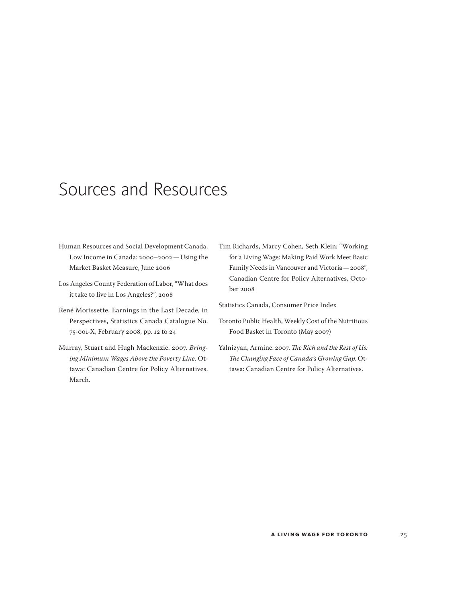## <span id="page-24-0"></span>Sources and Resources

- Human Resources and Social Development Canada, Low Income in Canada: 2000–2002—Using the Market Basket Measure, June 2006
- Los Angeles County Federation of Labor, "What does it take to live in Los Angeles?", 2008
- René Morissette, Earnings in the Last Decade, in Perspectives, Statistics Canada Catalogue No. 75-001-X, February 2008, pp. 12 to 24
- Murray, Stuart and Hugh Mackenzie. 2007. *Bringing Minimum Wages Above the Poverty Line*. Ottawa: Canadian Centre for Policy Alternatives. March.
- Tim Richards, Marcy Cohen, Seth Klein; "Working for a Living Wage: Making Paid Work Meet Basic Family Needs in Vancouver and Victoria—2008", Canadian Centre for Policy Alternatives, October 2008

Statistics Canada, Consumer Price Index

- Toronto Public Health, Weekly Cost of the Nutritious Food Basket in Toronto (May 2007)
- Yalnizyan, Armine. 2007. *The Rich and the Rest of Us: The Changing Face of Canada's Growing Gap*. Ottawa: Canadian Centre for Policy Alternatives.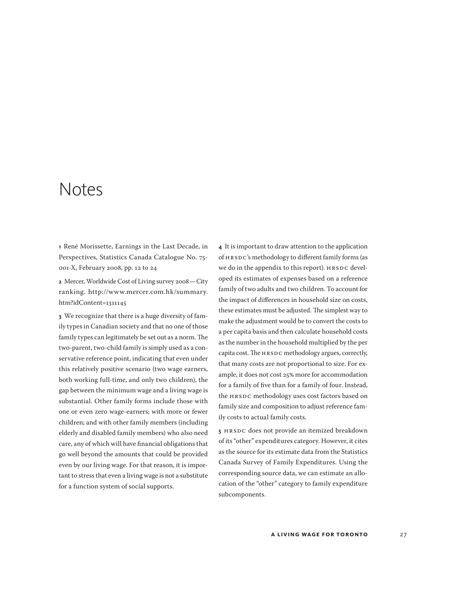### <span id="page-26-0"></span>Notes

**1** René Morissette, Earnings in the Last Decade, in Perspectives, Statistics Canada Catalogue No. 75- 001-X, February 2008, pp. 12 to 24

**2** Mercer, Worldwide Cost of Living survey 2008—City ranking. [http://www.mercer.com.hk/summary.](http://www.mercer.com.hk/summary.htm?idContent=1311145) [htm?idContent=1311145](http://www.mercer.com.hk/summary.htm?idContent=1311145)

**3** We recognize that there is a huge diversity of family types in Canadian society and that no one of those family types can legitimately be set out as a norm. The two-parent, two-child family is simply used as a conservative reference point, indicating that even under this relatively positive scenario (two wage earners, both working full-time, and only two children), the gap between the minimum wage and a living wage is substantial. Other family forms include those with one or even zero wage-earners; with more or fewer children; and with other family members (including elderly and disabled family members) who also need care, any of which will have financial obligations that go well beyond the amounts that could be provided even by our living wage. For that reason, it is important to stress that even a living wage is not a substitute for a function system of social supports.

**4** It is important to draw attention to the application of HRSDC's methodology to different family forms (as we do in the appendix to this report). HRSDC developed its estimates of expenses based on a reference family of two adults and two children. To account for the impact of differences in household size on costs, these estimates must be adjusted. The simplest way to make the adjustment would be to convert the costs to a per capita basis and then calculate household costs as the number in the household multiplied by the per capita cost. The HRSDC methodology argues, correctly, that many costs are not proportional to size. For example, it does not cost 25% more for accommodation for a family of five than for a family of four. Instead, the HRSDC methodology uses cost factors based on family size and composition to adjust reference family costs to actual family costs.

**5** HRSDC does not provide an itemized breakdown of its "other" expenditures category. However, it cites as the source for its estimate data from the Statistics Canada Survey of Family Expenditures. Using the corresponding source data, we can estimate an allocation of the "other" category to family expenditure subcomponents.